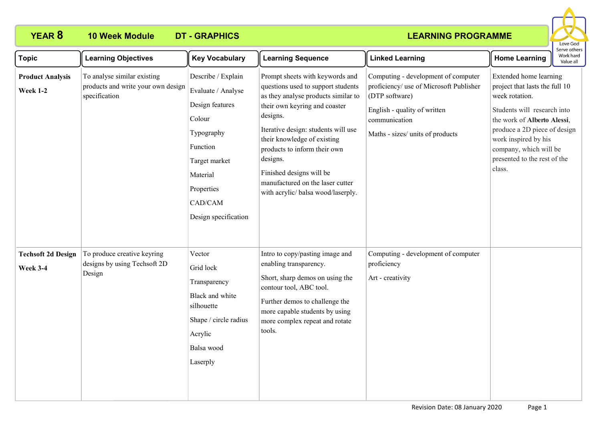# **YEAR 8 10 Week Module DT - GRAPHICS**

## **LEARNING PROGRAMME**



| <b>Topic</b>                                 | <b>Learning Objectives</b>                                                         | <b>Key Vocabulary</b>                                                                                                                                                         | <b>Learning Sequence</b>                                                                                                                                                                                                                                                                                                                                                          | <b>Linked Learning</b>                                                                                                                                                                | <b>Home Learning</b>                                                                                                                                                                                                                                                 | ei ve otriers<br>Work hard<br>Value all |
|----------------------------------------------|------------------------------------------------------------------------------------|-------------------------------------------------------------------------------------------------------------------------------------------------------------------------------|-----------------------------------------------------------------------------------------------------------------------------------------------------------------------------------------------------------------------------------------------------------------------------------------------------------------------------------------------------------------------------------|---------------------------------------------------------------------------------------------------------------------------------------------------------------------------------------|----------------------------------------------------------------------------------------------------------------------------------------------------------------------------------------------------------------------------------------------------------------------|-----------------------------------------|
| <b>Product Analysis</b><br><b>Week 1-2</b>   | To analyse similar existing<br>products and write your own design<br>specification | Describe / Explain<br>Evaluate / Analyse<br>Design features<br>Colour<br>Typography<br>Function<br>Target market<br>Material<br>Properties<br>CAD/CAM<br>Design specification | Prompt sheets with keywords and<br>questions used to support students<br>as they analyse products similar to<br>their own keyring and coaster<br>designs.<br>Iterative design: students will use<br>their knowledge of existing<br>products to inform their own<br>designs.<br>Finished designs will be<br>manufactured on the laser cutter<br>with acrylic/ balsa wood/laserply. | Computing - development of computer<br>proficiency/ use of Microsoft Publisher<br>(DTP software)<br>English - quality of written<br>communication<br>Maths - sizes/ units of products | Extended home learning<br>project that lasts the full 10<br>week rotation.<br>Students will research into<br>the work of Alberto Alessi,<br>produce a 2D piece of design<br>work inspired by his<br>company, which will be<br>presented to the rest of the<br>class. |                                         |
| <b>Techsoft 2d Design</b><br><b>Week 3-4</b> | To produce creative keyring<br>designs by using Techsoft 2D<br>Design              | Vector<br>Grid lock<br>Transparency<br>Black and white<br>silhouette<br>Shape / circle radius<br>Acrylic<br>Balsa wood<br>Laserply                                            | Intro to copy/pasting image and<br>enabling transparency.<br>Short, sharp demos on using the<br>contour tool, ABC tool.<br>Further demos to challenge the<br>more capable students by using<br>more complex repeat and rotate<br>tools.                                                                                                                                           | Computing - development of computer<br>proficiency<br>Art - creativity                                                                                                                |                                                                                                                                                                                                                                                                      |                                         |